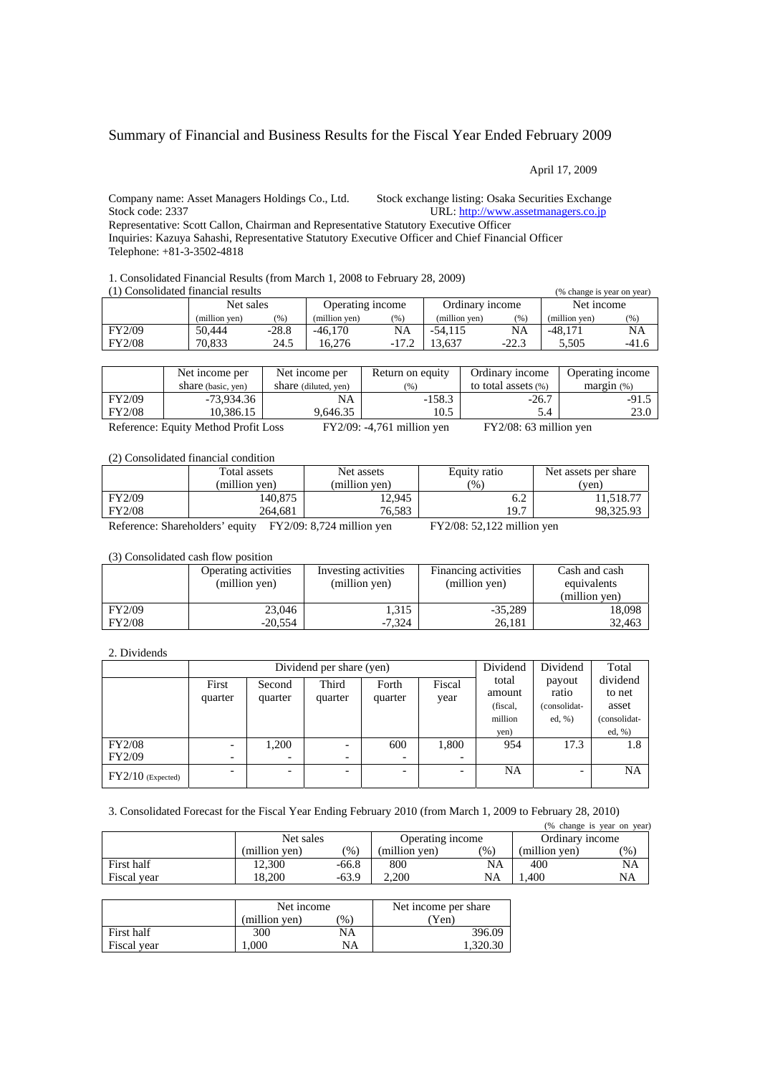# Summary of Financial and Business Results for the Fiscal Year Ended February 2009

April 17, 2009

Company name: Asset Managers Holdings Co., Ltd. Stock exchange listing: Osaka Securities Exchan[ge](http://www.assetmanagers.co.jp/) Stock code: 2337 URL: [http://www.assetmanagers.co.jp](http://www.assetmanagers.co.jp/)

Representative: Scott Callon, Chairman and Representative Statutory Executive Officer Inquiries: Kazuya Sahashi, Representative Statutory Executive Officer and Chief Financial Officer Telephone: +81-3-3502-4818

1. Consolidated Financial Results (from March 1, 2008 to February 28, 2009)

| (1) Consolidated financial results |               |         |                  |         |                 |         | (% change is year on year) |       |
|------------------------------------|---------------|---------|------------------|---------|-----------------|---------|----------------------------|-------|
|                                    | Net sales     |         | Operating income |         | Ordinary income |         | Net income                 |       |
|                                    | (million ven) | (% )    | (million ven)    | (%)     | (million yen)   | (% )    | (million ven)              | (%)   |
| FY2/09                             | 50.444        | $-28.8$ | $-46.170$        | NA      | $-54.115$       | NA      | $-48.171$                  | NA    |
| <b>FY2/08</b>                      | 70.833        | 24.5    | 16.276           | $-17.2$ | 13.637          | $-22.3$ | 5.505                      | -41.6 |

|        | Net income per     | Net income per       | Return on equity | Ordinary income     | Operating income |
|--------|--------------------|----------------------|------------------|---------------------|------------------|
|        | share (basic, yen) | share (diluted, yen) | (96)             | to total assets (%) | margin (%)       |
| FY2/09 | -73,934.36         | NA                   | $-158.3$         | $-26.7$             | $-91.5$          |
| FY2/08 | 10,386.15          | 9.646.35             | 10.5             | 5.4                 | 23.0             |

Reference: Equity Method Profit Loss FY2/09: -4,761 million yen FY2/08: 63 million yen

(2) Consolidated financial condition

|               | Total assets<br>(million ven) | Net assets<br>(million ven) | Equity ratio<br>$\frac{9}{6}$ | Net assets per share<br>(ven) |
|---------------|-------------------------------|-----------------------------|-------------------------------|-------------------------------|
| FY2/09        | 140,875                       | 12.945                      | 6.2                           | 11.518.77                     |
| <b>FY2/08</b> | 264.681                       | 76.583                      | 19.7                          | 98.325.93                     |
| ______        |                               |                             |                               |                               |

Reference: Shareholders' equity FY2/09: 8,724 million yen FY2/08: 52,122 million yen

## (3) Consolidated cash flow position

|               | Operating activities<br>(million yen) | Investing activities<br>(million yen) | Financing activities<br>(million yen) | Cash and cash<br>equivalents<br>(million ven) |
|---------------|---------------------------------------|---------------------------------------|---------------------------------------|-----------------------------------------------|
| FY2/09        | 23,046                                | 1,315                                 | $-35.289$                             | 18.098                                        |
| <b>FY2/08</b> | $-20.554$                             | $-7.324$                              | 26.181                                | 32,463                                        |

### 2. Dividends

|                     | Dividend per share (yen) |                          |                  |                  |                | Dividend                                       | Dividend                                     | Total                                                    |
|---------------------|--------------------------|--------------------------|------------------|------------------|----------------|------------------------------------------------|----------------------------------------------|----------------------------------------------------------|
|                     | First<br>quarter         | Second<br>quarter        | Third<br>quarter | Forth<br>quarter | Fiscal<br>year | total<br>amount<br>(fiscal,<br>million<br>yen) | payout<br>ratio<br>(consolidat-<br>ed, $%$ ) | dividend<br>to net<br>asset<br>(consolidat-<br>ed, $%$ ) |
| <b>FY2/08</b>       |                          | 1,200                    | ۰                | 600              | 1,800          | 954                                            | 17.3                                         | 1.8                                                      |
| FY2/09              | -                        |                          | -                | -                |                |                                                |                                              |                                                          |
| $FY2/10$ (Expected) | -                        | $\overline{\phantom{0}}$ | -                | -                |                | NA                                             | -                                            | <b>NA</b>                                                |

### 3. Consolidated Forecast for the Fiscal Year Ending February 2010 (from March 1, 2009 to February 28, 2010)

|             |               |         |                  |               |                 | (% change is year on year) |
|-------------|---------------|---------|------------------|---------------|-----------------|----------------------------|
|             | Net sales     |         | Operating income |               | Ordinary income |                            |
|             | (million ven) | (%)     | (million ven)    | $\frac{1}{2}$ | (million ven)   | $\mathcal{O}(6)$           |
| First half  | 12.300        | -66.8   | 800              | NA            | 400             | NA                         |
| Fiscal year | 18.200        | $-63.9$ | 2.200            | NA            | .400            | NA                         |

|             | Net income    |      | Net income per share |
|-------------|---------------|------|----------------------|
|             | (million ven) | $\%$ | Yen)                 |
| First half  | 300           | NA   | 396.09               |
| Fiscal year | .000          | NΑ   | .320.30              |